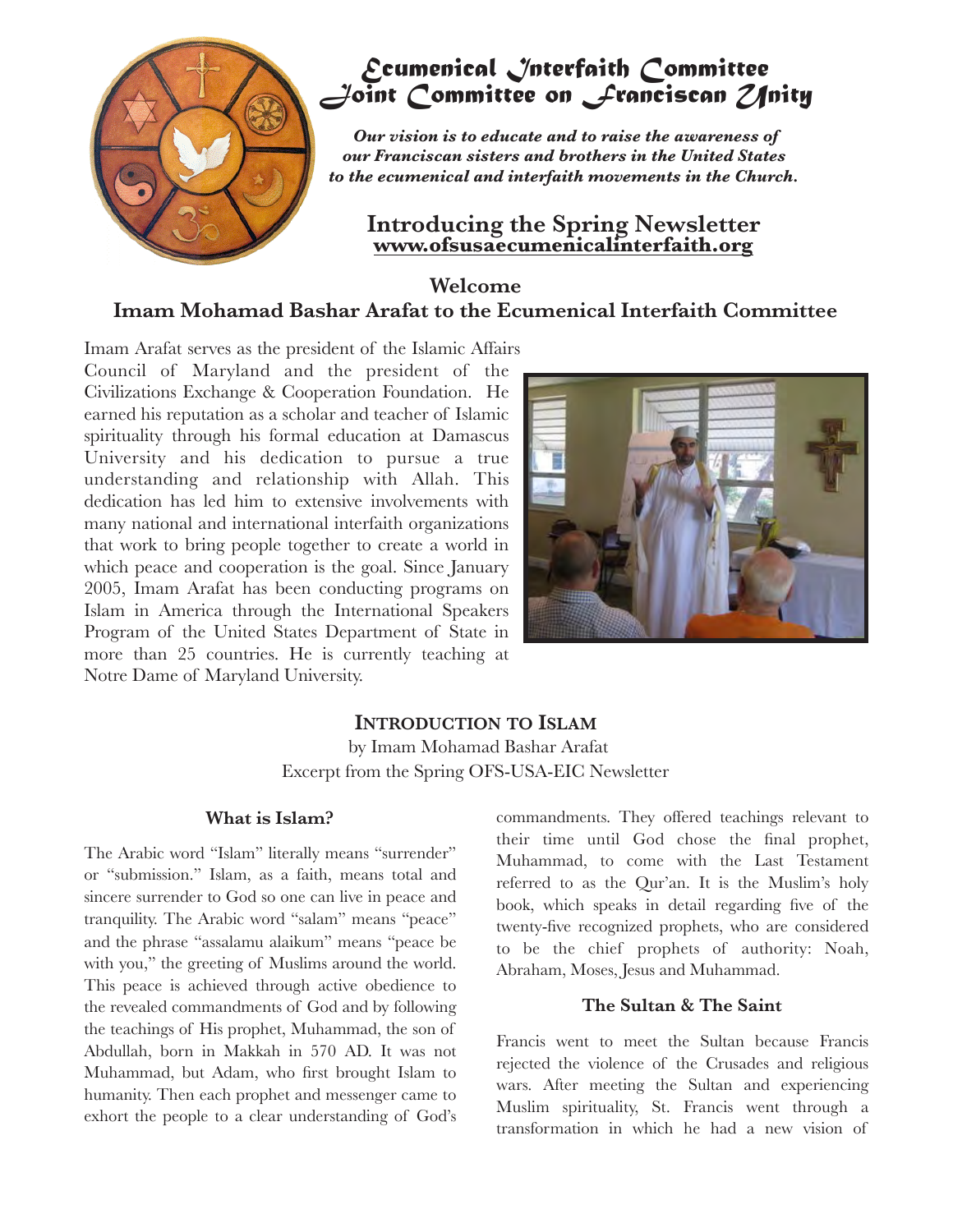

# *Ecumenical Interfaith Committee Joint Committee on Franciscan Unity*

 *Our vision is to educate and to raise the awareness of our Franciscan sisters and brothers in the United States to the ecumenical and interfaith movements in the Church.*

# **Introducing the Spring Newsletter [www.ofsusaecumenicalinterfaith.org](http://www.ofsusaecumenicalinterfaith.org)**

## **Welcome Imam Mohamad Bashar Arafat to the Ecumenical Interfaith Committee**

Imam Arafat serves as the president of the Islamic Affairs Council of Maryland and the president of the Civilizations Exchange & Cooperation Foundation. He earned his reputation as a scholar and teacher of Islamic spirituality through his formal education at Damascus University and his dedication to pursue a true understanding and relationship with Allah. This dedication has led him to extensive involvements with many national and international interfaith organizations that work to bring people together to create a world in which peace and cooperation is the goal. Since January 2005, Imam Arafat has been conducting programs on Islam in America through the International Speakers Program of the United States Department of State in more than 25 countries. He is currently teaching at Notre Dame of Maryland University.



#### **INTRODUCTION TO ISLAM** by Imam Mohamad Bashar Arafat

Excerpt from the Spring OFS-USA-EIC Newsletter

#### **What is Islam?**

The Arabic word "Islam" literally means "surrender" or "submission." Islam, as a faith, means total and sincere surrender to God so one can live in peace and tranquility. The Arabic word "salam" means "peace" and the phrase "assalamu alaikum" means "peace be with you," the greeting of Muslims around the world. This peace is achieved through active obedience to the revealed commandments of God and by following the teachings of His prophet, Muhammad, the son of Abdullah, born in Makkah in 570 AD. It was not Muhammad, but Adam, who first brought Islam to humanity. Then each prophet and messenger came to exhort the people to a clear understanding of God's commandments. They offered teachings relevant to their time until God chose the final prophet, Muhammad, to come with the Last Testament referred to as the Qur'an. It is the Muslim's holy book, which speaks in detail regarding five of the twenty-five recognized prophets, who are considered to be the chief prophets of authority: Noah, Abraham, Moses, Jesus and Muhammad.

#### **The Sultan & The Saint**

Francis went to meet the Sultan because Francis rejected the violence of the Crusades and religious wars. After meeting the Sultan and experiencing Muslim spirituality, St. Francis went through a transformation in which he had a new vision of